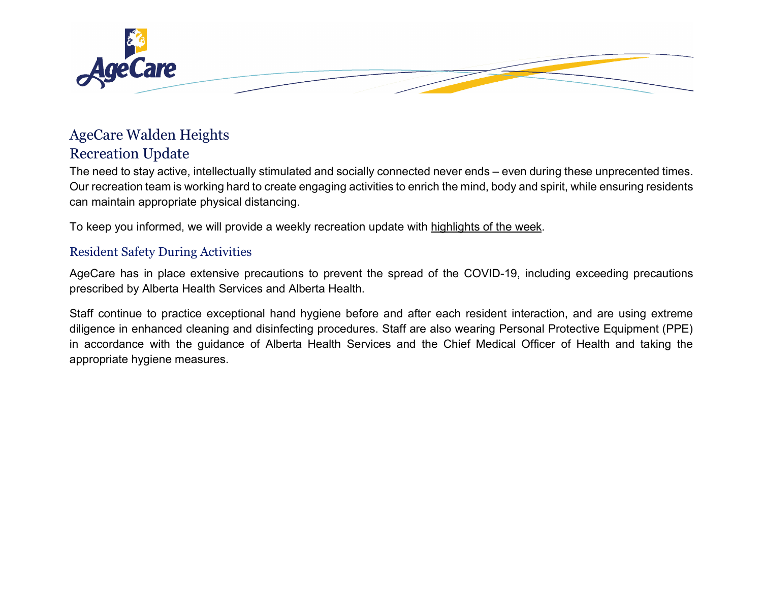

# AgeCare Walden Heights

# Recreation Update

The need to stay active, intellectually stimulated and socially connected never ends – even during these unprecented times. Our recreation team is working hard to create engaging activities to enrich the mind, body and spirit, while ensuring residents can maintain appropriate physical distancing.

To keep you informed, we will provide a weekly recreation update with highlights of the week.

#### Resident Safety During Activities

AgeCare has in place extensive precautions to prevent the spread of the COVID-19, including exceeding precautions prescribed by Alberta Health Services and Alberta Health.

Staff continue to practice exceptional hand hygiene before and after each resident interaction, and are using extreme diligence in enhanced cleaning and disinfecting procedures. Staff are also wearing Personal Protective Equipment (PPE) in accordance with the guidance of Alberta Health Services and the Chief Medical Officer of Health and taking the appropriate hygiene measures.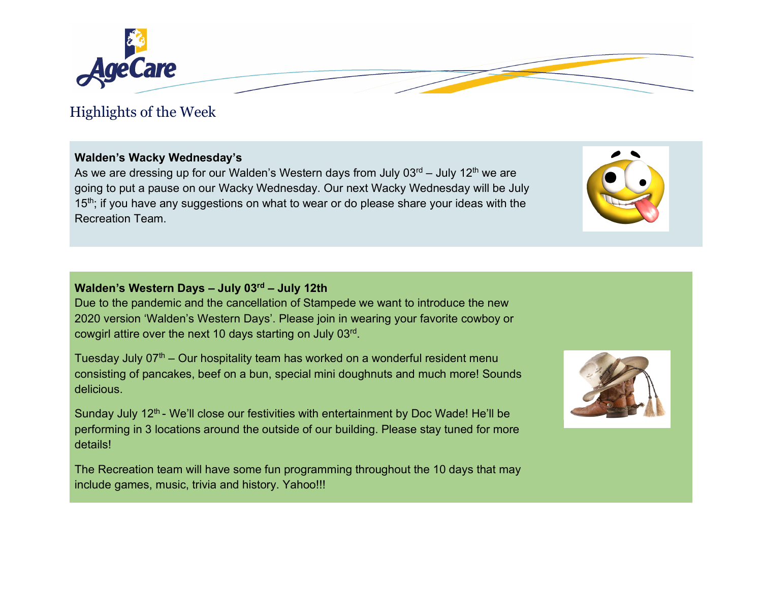

# Highlights of the Week

### **Walden's Wacky Wednesday's**

As we are dressing up for our Walden's Western days from July  $03<sup>rd</sup> -$  July  $12<sup>th</sup>$  we are going to put a pause on our Wacky Wednesday. Our next Wacky Wednesday will be July 15<sup>th</sup>; if you have any suggestions on what to wear or do please share your ideas with the Recreation Team.

## **Walden's Western Days – July 03rd – July 12th**

Due to the pandemic and the cancellation of Stampede we want to introduce the new 2020 version 'Walden's Western Days'. Please join in wearing your favorite cowboy or cowgirl attire over the next 10 days starting on July 03rd.

Tuesday July  $07<sup>th</sup>$  – Our hospitality team has worked on a wonderful resident menu consisting of pancakes, beef on a bun, special mini doughnuts and much more! Sounds delicious.

Sunday July 12<sup>th</sup> - We'll close our festivities with entertainment by Doc Wade! He'll be performing in 3 locations around the outside of our building. Please stay tuned for more details!

The Recreation team will have some fun programming throughout the 10 days that may include games, music, trivia and history. Yahoo!!!



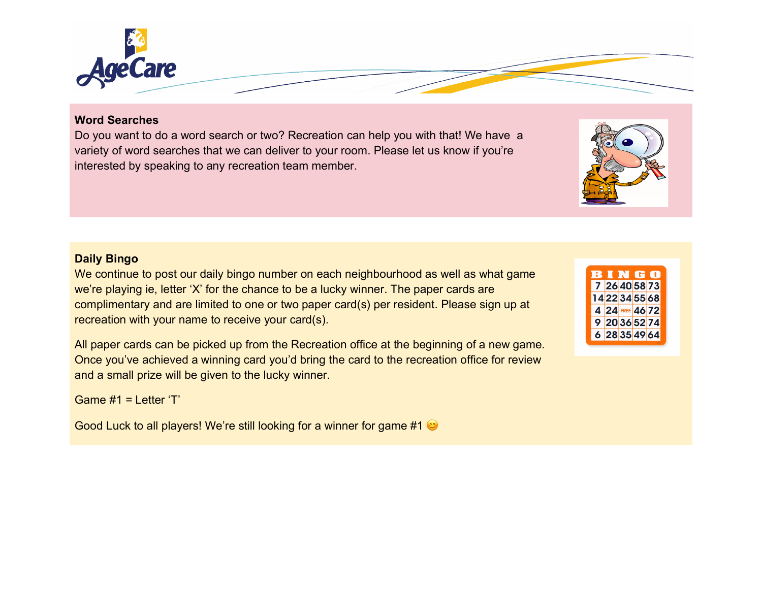

#### **Word Searches**

Do you want to do a word search or two? Recreation can help you with that! We have a variety of word searches that we can deliver to your room. Please let us know if you're interested by speaking to any recreation team member.

#### **Daily Bingo**

We continue to post our daily bingo number on each neighbourhood as well as what game we're playing ie, letter 'X' for the chance to be a lucky winner. The paper cards are complimentary and are limited to one or two paper card(s) per resident. Please sign up at recreation with your name to receive your card(s).

All paper cards can be picked up from the Recreation office at the beginning of a new game. Once you've achieved a winning card you'd bring the card to the recreation office for review and a small prize will be given to the lucky winner.

Game  $#1 = 1$  etter 'T'

Good Luck to all players! We're still looking for a winner for game #1  $\odot$ 

|  |                 | BINGO |
|--|-----------------|-------|
|  | 7 26 40 58 73   |       |
|  | 1422345568      |       |
|  | 4 24 FREE 46 72 |       |
|  | 9 20 36 52 74   |       |
|  | 6 28 35 49 64   |       |
|  |                 |       |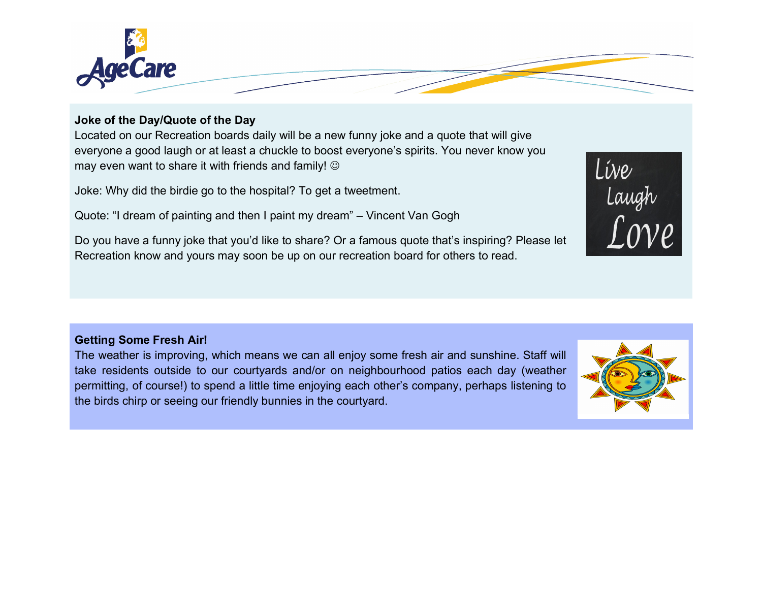

#### **Joke of the Day/Quote of the Day**

Located on our Recreation boards daily will be a new funny joke and a quote that will give everyone a good laugh or at least a chuckle to boost everyone's spirits. You never know you may even want to share it with friends and family!  $\circledcirc$ 

Joke: Why did the birdie go to the hospital? To get a tweetment.

Quote: "I dream of painting and then I paint my dream" – Vincent Van Gogh

Do you have a funny joke that you'd like to share? Or a famous quote that's inspiring? Please let Recreation know and yours may soon be up on our recreation board for others to read.

#### **Getting Some Fresh Air!**

The weather is improving, which means we can all enjoy some fresh air and sunshine. Staff will take residents outside to our courtyards and/or on neighbourhood patios each day (weather permitting, of course!) to spend a little time enjoying each other's company, perhaps listening to the birds chirp or seeing our friendly bunnies in the courtyard.